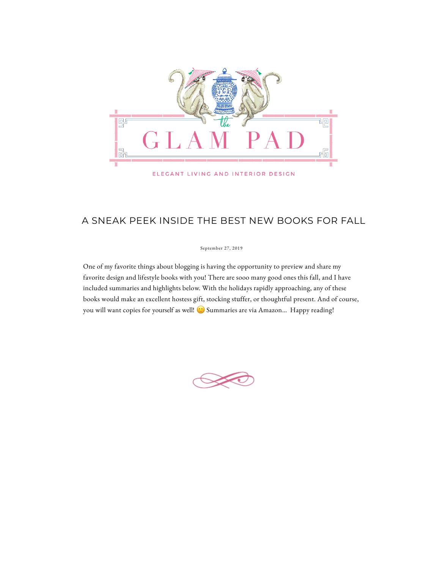

ELEGANT LIVING AND INTERIOR DESIGN

## A SNEAK PEEK INSIDE THE BEST NEW BOOKS FOR FALL

One of my favorite things about blogging is having the opportunity to preview and share my favorite design and lifestyle books with you! There are sooo many good ones this fall, and I have included summaries and highlights below. With the holidays rapidly approaching, any of these books would make an excellent hostess gift, stocking stuffer, or thoughtful present. And of course, you will want copies for yourself as well!  $\odot$  Summaries are via Amazon... Happy reading!



## September 27, 2019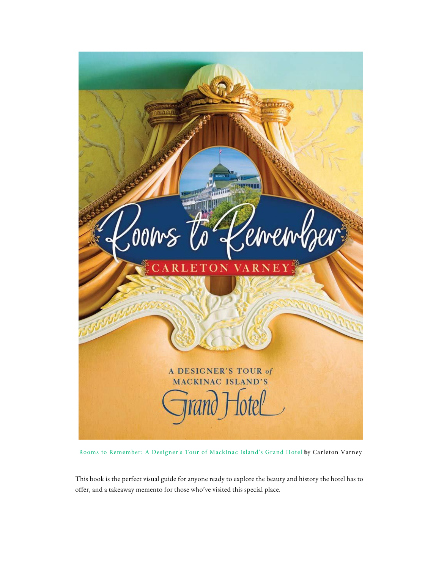This book is the perfect visual guide for anyone ready to explore the beauty and history the hotel has to offer, and a takeaway memento for those who've visited this special place.

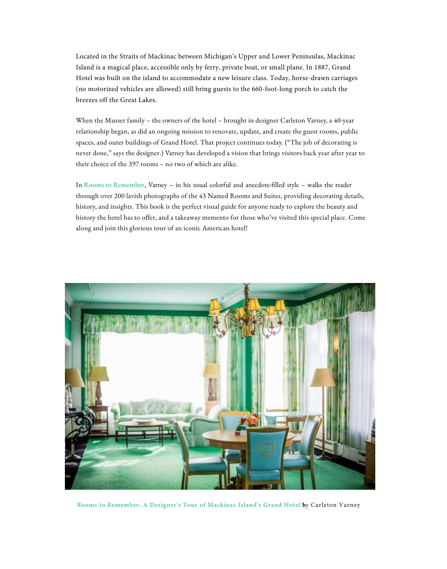Located in the Straits of Mackinac between Michigan's Upper and Lower Peninsulas, Mackinac [Island is a magical place, accessible only by ferry, private boat, or](https://rstyle.me/+Gki0KwFaeA0UzdMHpUqhAw) small plane. In 1887, Grand Hotel was built on the island to accommodate a new leisure class. Today, horse-drawn carriages (no mot[orized vehicles are allowed\) still bring gu](https://adclick.g.doubleclick.net/pcs/click?xai=AKAOjstNjRStMJ40NTk9su5y7DYYhogybZ8t1nSDadWxaeJ--OxSz84fl4TOw-5DrS8Z4cC0AnDuzC5vPoJMBFMkRo2SgZaZqJLP31VoVzyIWTCrls3BHcBWv3jlCl-G2EU&sig=Cg0ArKJSzPossdQvNhKm&urlfix=1&adurl=http://insight.adsrvr.org/track/clk%3Fttd_r%3D%26imp%3D67cf2562-a41e-490f-b234-41312b2b8f86%26ag%3Dlydz83x%26sfe%3Dfc5ac57%26sig%3DO91LIylnV4HQ6UnrTjYFxT07wofJ4yPLe_7hjOs4di4.%26crid%3D4loufguz%26cf%3D800130%26fq%3D0%26td_s%3Dwww.theglampad.com%26rcats%3Dhmy%26mcat%3Dgc_pubone_citi_home_improve%26mste%3D%26mfld%3D4%26mssi%3DNone%26mfsi%3Dqpaj484xvz%26sv%3Dappnexus%26uhow%3D131%26agsa%3D%26rgco%3DUnited%2520States%26rgre%3DNew%2520York%26rgme%3D501%26rgci%3DNew%2520York%26rgz%3D10022%26dt%3DPC%26osf%3DOSX%26os%3DOther%26br%3DSafari%26svpid%3D3561%26rlangs%3D01%26mlang%3D%26did%3D%26rcxt%3DOther%26tmpc%3D20.14%26vrtd%3D%26osi%3D%26osv%3D%26daid%3D%26dnr%3D0%26vpb%3D%26c%3DOAFQAQ..%26dur%3DCjYKHWNoYXJnZS1hbGxJbnRlZ3JhbEJyYW5kU2FmZXR5IhUI-f__________ARIIaW50ZWdyYWwKNgodY2hhcmdlLWFsbEludGVncmFsVmlld2FiaWxpdHkiFQj4__________8BEghpbnRlZ3JhbAo3Ch1jaGFyZ2UtYWxsR3JhcGVzaG90Q2F0ZWdvcmllcyIWCPf__________wESCWdyYXBlc2hvdAo9CiRjaGFyZ2UtYWxsSW50ZWdyYWxTdXNwaWNpb3VzQWN0aXZpdHkiFQj1__________8BEghpbnRlZ3JhbApHCipjaGFyZ2UtYWxsRG91YmxlVmVyaWZ5QXV0aGVudGljQnJhbmRTYWZldHkiGQjb__________8BEgxkb3VibGV2ZXJpZnk.%26crrelr%3D%26npt%3D%26svscid%3D4506997%26mk%3DApple%26mdl%3DSafari%2520-%2520OS%2520X%26adpt%3Danor%26ipl%3D16977153%26fpa%3D660%26pcm%3D3%26ict%3DCellularNetworkUnknown%26said%3D4162392018803230138%26auct%3D1%26r%3Dhttps://d.agkn.com/pixel/2389/%253Fche%253D1267508448%2526col%253D23027712,3083509,253235296,449533494,120198126%2526l1%253Dhttps://online.citi.com/US/JRS/portal/template_lo.do%253FID%253Dsurestart_preapproval%2526client_type%253DLO%2526client_id%253D49919%2526JFP_TOKEN%253DKDQUG09K)ests to the 660-foot-long porch to catch the breezes off the Great Lakes.

When the Musser family – the owners of the hotel – brought in designer Carleton Varney, a 40-year relationship began, as did an ongoing mission to renovate, update, and create the guest rooms, public spaces, and outer buildings of Grand Hotel. That project continues today. ("The job of decorating is never done," says the designer.) Varney has developed a vision that brings visitors back year after year to their choice of the 397 rooms – no two of which are alike.

In Room[s to Remember, Varney – in his usual colo](https://bs.serving-sys.com/Serving/BannerRedirect.bs?cn=brd&FlightID=28723652&Page=&sessionid=3198673639794882235&PluID=0&EyeblasterID=59481778&Pos=1871671664&ord=1566865393377527046&sct=1&di=1&ncu=$$https://presentation-atl1.turn.com/r/formclick/urlid/1vCVrUT3BenSBxA8XQYwKRX5xndWR2R56U_gGF-sf9Fo9q6QjPsoAOe_PAJ3zKsrc2jwqPS2gEKaQmpmTknhsLwVUaa81rE5Va5TPoJV_1Ntn4-ZNPeiesLCUWGi5Q0pM4rP_7eCms79CdWZaXcW5HTbLcisF5vf52pYjnxx7sgLDq60qaLSM9lSDH_P7r3m2LfHLNhuhT3pi82fEsIKY-zMcLaIqUa9FRu7ru1ABYiPQnGDlfaPP6LR2fq7LgEZ-AItS9QqrI-KnBY7mRKe9RfjAhFEygsaFF_1zPn66BdjHL6YyabEFeH-4heiJlEu6j5YQbzZ_vETgMHSWmUhx1XrtQEQ_DqrPqhWJGMGknt13tl-E5MBhcfg6-0HDzX64GcEbV5Dy7a1o1mE8SNjXjiug62SWzjsTOCmNZnliB7alyDPby-ZOzaJpQHLmNyu0H98HV7I_486lq7S9K5vPXEVLHqmN6R0_qJ0HY82m5tBV1Up4wDRVgT_fnYpgdkE2aSI98YwP0LtGLU8Pfmv5I7E7r56VRyGCfZFGvfMtHmYFgKw85h2hfXA8RNPhx9hWIiTBL7gXw2mMPi6sftSBHStwiNk6VYY_SjKuMVBntyjUtahTorKbK3pBfyLrLud6T5i-KSb58uxaFZ2ObTm-K7frjt4CK_76xRbZofWUk3qFg8OEPzYqx2hIhwiWACt_SbZI6crr33WPy-4J43y4lU-P36KylZFAlZtMK84K67vSo0zWeD5Uzh0qhJ9lh-hXzdJNz9Ei4CHQ3oSp9Xy8nRF7J7hOv-xQRdIM1TcI8eEe_ozlaXAsQnMrg7L__q-4Idg6gazh6tL0VI8ByIlvS23VkWo-d-VWpB0Z-UTGS5uMVuZ8-9jQVMIIQP1w936pmjfcC6uEbZS0s_1wUgbkfRKDdzxCZ1CM256KA9UDQA_a-eeWul5KZCjh_LUH8KEMm9TCNsP3LFhZ14faiHRZqflQeQHqNgN1jGM8u6nAGEObuMvhuRvKuwlIg0HqwIvj39LvSSIMt2mYo2Vg47ZrPVv8frDiJR18_wZ4bVAjUuEQ7kbDIwhWQedmmbBCsE6Glyp5P6awkGxq0r6pbjYoqs99VbtoOu0St1jMQ5v6AneV7ZtSciCM0QUbMtJbIetb5Vx3gyl6xd2o_ZPS67f1T5xAYE3g0K4RItaQsVxdy0lQeG-1lZq6qdEKPVWHbhqN/url/$$)rful and anecdote-flled style – walks the reader through over 200 lavish photographs of the 43 Named Rooms and Suites, providing decorating details, history, and insights. This book is the perfect visual guide for anyone ready to explore the beauty and history the hotel has to offer, and a takeaway memento for those who've visited this special place. Come along and join this glorious tour of an iconic American hotel!

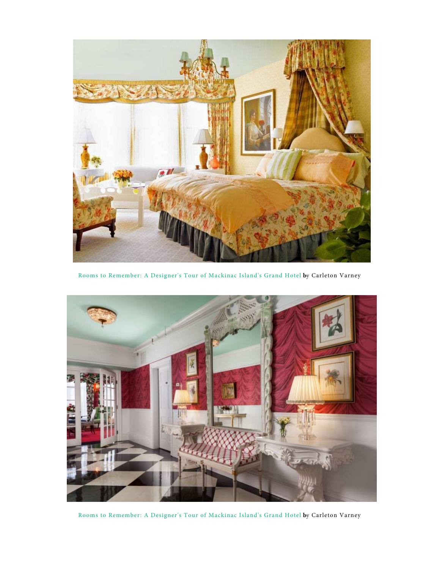

Rooms to Remember: A Designer's Tour of Mackinac Island's Grand Hotel by Carleton Varney